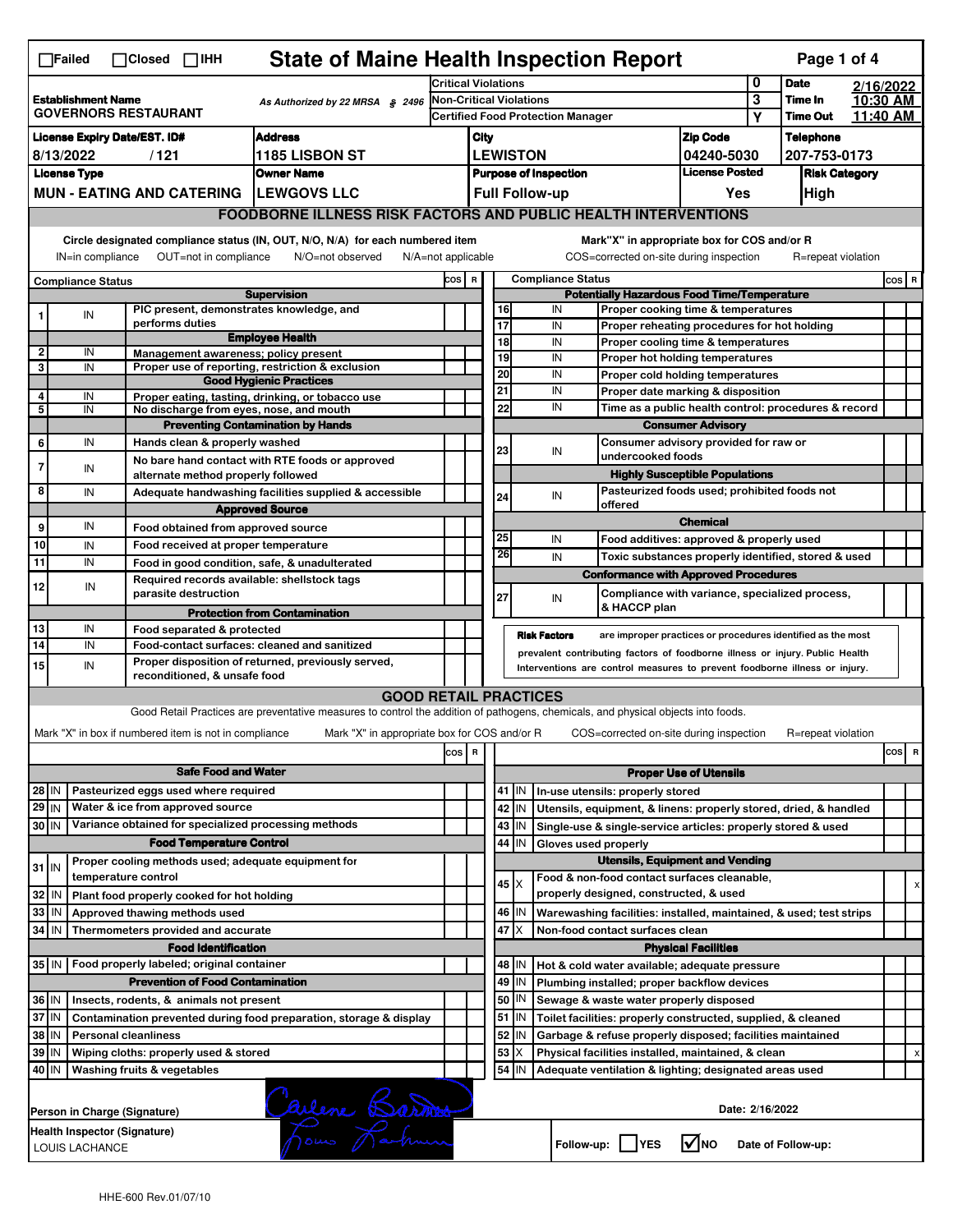|                                                                                             | <b>State of Maine Health Inspection Report</b><br>Page 1 of 4<br>$\Box$ Failed<br>$\Box$ Closed $\Box$ IHH                                                            |                                                                                                                                                                                                           |                                                                                                                                                                                                                    |                                                                                                                                   |                                                                                                    |  |                                                                                                               |                       |                            |                                                                       |                                       |                  |                    |  |     |   |
|---------------------------------------------------------------------------------------------|-----------------------------------------------------------------------------------------------------------------------------------------------------------------------|-----------------------------------------------------------------------------------------------------------------------------------------------------------------------------------------------------------|--------------------------------------------------------------------------------------------------------------------------------------------------------------------------------------------------------------------|-----------------------------------------------------------------------------------------------------------------------------------|----------------------------------------------------------------------------------------------------|--|---------------------------------------------------------------------------------------------------------------|-----------------------|----------------------------|-----------------------------------------------------------------------|---------------------------------------|------------------|--------------------|--|-----|---|
|                                                                                             |                                                                                                                                                                       |                                                                                                                                                                                                           |                                                                                                                                                                                                                    | <b>Critical Violations</b>                                                                                                        |                                                                                                    |  |                                                                                                               |                       |                            | 0                                                                     | <b>Date</b>                           | 2/16/2022        |                    |  |     |   |
| <b>Establishment Name</b><br>As Authorized by 22 MRSA § 2496<br><b>GOVERNORS RESTAURANT</b> |                                                                                                                                                                       |                                                                                                                                                                                                           | Non-Critical Violations<br><b>Certified Food Protection Manager</b>                                                                                                                                                |                                                                                                                                   |                                                                                                    |  |                                                                                                               | 3<br>Υ                | Time In<br><b>Time Out</b> | 10:30 AM<br>11.40 AM                                                  |                                       |                  |                    |  |     |   |
| <b>Address</b>                                                                              |                                                                                                                                                                       |                                                                                                                                                                                                           |                                                                                                                                                                                                                    |                                                                                                                                   | City                                                                                               |  |                                                                                                               |                       |                            | <b>Zip Code</b>                                                       |                                       | <b>Telephone</b> |                    |  |     |   |
| <b>License Expiry Date/EST. ID#</b><br>8/13/2022<br>/121<br><b>1185 LISBON ST</b>           |                                                                                                                                                                       |                                                                                                                                                                                                           |                                                                                                                                                                                                                    |                                                                                                                                   |                                                                                                    |  | <b>LEWISTON</b>                                                                                               |                       |                            | 04240-5030                                                            |                                       | 207-753-0173     |                    |  |     |   |
| <b>License Type</b><br><b>Owner Name</b>                                                    |                                                                                                                                                                       |                                                                                                                                                                                                           | <b>License Posted</b><br><b>Purpose of Inspection</b>                                                                                                                                                              |                                                                                                                                   |                                                                                                    |  | <b>Risk Category</b>                                                                                          |                       |                            |                                                                       |                                       |                  |                    |  |     |   |
|                                                                                             |                                                                                                                                                                       |                                                                                                                                                                                                           | <b>MUN - EATING AND CATERING</b>                                                                                                                                                                                   | <b>LEWGOVS LLC</b>                                                                                                                |                                                                                                    |  |                                                                                                               | <b>Full Follow-up</b> |                            |                                                                       | Yes                                   |                  | <b>High</b>        |  |     |   |
|                                                                                             |                                                                                                                                                                       |                                                                                                                                                                                                           |                                                                                                                                                                                                                    | <b>FOODBORNE ILLNESS RISK FACTORS AND PUBLIC HEALTH INTERVENTIONS</b>                                                             |                                                                                                    |  |                                                                                                               |                       |                            |                                                                       |                                       |                  |                    |  |     |   |
|                                                                                             | Circle designated compliance status (IN, OUT, N/O, N/A) for each numbered item<br>OUT=not in compliance<br>N/O=not observed<br>IN=in compliance<br>N/A=not applicable |                                                                                                                                                                                                           |                                                                                                                                                                                                                    |                                                                                                                                   |                                                                                                    |  |                                                                                                               |                       |                            | Mark"X" in appropriate box for COS and/or R                           |                                       |                  |                    |  |     |   |
|                                                                                             |                                                                                                                                                                       |                                                                                                                                                                                                           |                                                                                                                                                                                                                    |                                                                                                                                   | COS=corrected on-site during inspection<br>R=repeat violation<br><b>Compliance Status</b><br>COS R |  |                                                                                                               |                       |                            |                                                                       | $cos$ R                               |                  |                    |  |     |   |
|                                                                                             | <b>Compliance Status</b>                                                                                                                                              |                                                                                                                                                                                                           |                                                                                                                                                                                                                    | <b>Supervision</b>                                                                                                                |                                                                                                    |  |                                                                                                               |                       |                            | <b>Potentially Hazardous Food Time/Temperature</b>                    |                                       |                  |                    |  |     |   |
|                                                                                             | IN                                                                                                                                                                    |                                                                                                                                                                                                           | PIC present, demonstrates knowledge, and                                                                                                                                                                           |                                                                                                                                   |                                                                                                    |  |                                                                                                               | 16                    | IN                         | Proper cooking time & temperatures                                    |                                       |                  |                    |  |     |   |
|                                                                                             |                                                                                                                                                                       |                                                                                                                                                                                                           | performs duties                                                                                                                                                                                                    | <b>Employee Health</b>                                                                                                            |                                                                                                    |  | 18                                                                                                            | 17                    | IN<br>IN                   | Proper reheating procedures for hot holding                           |                                       |                  |                    |  |     |   |
| $\overline{\mathbf{2}}$                                                                     | IN                                                                                                                                                                    |                                                                                                                                                                                                           | Management awareness: policy present                                                                                                                                                                               |                                                                                                                                   |                                                                                                    |  |                                                                                                               | 19                    | IN                         | Proper cooling time & temperatures<br>Proper hot holding temperatures |                                       |                  |                    |  |     |   |
| 3                                                                                           | IN                                                                                                                                                                    |                                                                                                                                                                                                           |                                                                                                                                                                                                                    | Proper use of reporting, restriction & exclusion                                                                                  |                                                                                                    |  |                                                                                                               | 20                    | IN                         | Proper cold holding temperatures                                      |                                       |                  |                    |  |     |   |
| 4                                                                                           | IN                                                                                                                                                                    |                                                                                                                                                                                                           |                                                                                                                                                                                                                    | <b>Good Hygienic Practices</b><br>Proper eating, tasting, drinking, or tobacco use                                                |                                                                                                    |  | 21                                                                                                            |                       | IN                         | Proper date marking & disposition                                     |                                       |                  |                    |  |     |   |
| 5                                                                                           | IN                                                                                                                                                                    |                                                                                                                                                                                                           | No discharge from eyes, nose, and mouth                                                                                                                                                                            |                                                                                                                                   |                                                                                                    |  |                                                                                                               | 22                    | IN                         | Time as a public health control: procedures & record                  |                                       |                  |                    |  |     |   |
|                                                                                             |                                                                                                                                                                       |                                                                                                                                                                                                           |                                                                                                                                                                                                                    | <b>Preventing Contamination by Hands</b>                                                                                          |                                                                                                    |  |                                                                                                               |                       |                            |                                                                       | <b>Consumer Advisory</b>              |                  |                    |  |     |   |
| 6                                                                                           | IN                                                                                                                                                                    |                                                                                                                                                                                                           | Hands clean & properly washed                                                                                                                                                                                      |                                                                                                                                   |                                                                                                    |  |                                                                                                               | 23                    |                            | Consumer advisory provided for raw or                                 |                                       |                  |                    |  |     |   |
| $\overline{7}$                                                                              | IN                                                                                                                                                                    |                                                                                                                                                                                                           |                                                                                                                                                                                                                    | No bare hand contact with RTE foods or approved                                                                                   |                                                                                                    |  |                                                                                                               |                       | IN                         | undercooked foods                                                     |                                       |                  |                    |  |     |   |
|                                                                                             |                                                                                                                                                                       |                                                                                                                                                                                                           | alternate method properly followed                                                                                                                                                                                 |                                                                                                                                   |                                                                                                    |  |                                                                                                               |                       |                            |                                                                       | <b>Highly Susceptible Populations</b> |                  |                    |  |     |   |
| 8                                                                                           | IN                                                                                                                                                                    |                                                                                                                                                                                                           |                                                                                                                                                                                                                    | Adequate handwashing facilities supplied & accessible                                                                             |                                                                                                    |  |                                                                                                               | 24                    | IN                         | Pasteurized foods used; prohibited foods not<br>offered               |                                       |                  |                    |  |     |   |
|                                                                                             |                                                                                                                                                                       |                                                                                                                                                                                                           |                                                                                                                                                                                                                    | <b>Approved Source</b>                                                                                                            |                                                                                                    |  |                                                                                                               |                       |                            |                                                                       | <b>Chemical</b>                       |                  |                    |  |     |   |
| 9                                                                                           | IN                                                                                                                                                                    |                                                                                                                                                                                                           | Food obtained from approved source                                                                                                                                                                                 |                                                                                                                                   |                                                                                                    |  | 25                                                                                                            |                       | IN                         | Food additives: approved & properly used                              |                                       |                  |                    |  |     |   |
| 10                                                                                          | IN                                                                                                                                                                    |                                                                                                                                                                                                           | Food received at proper temperature                                                                                                                                                                                |                                                                                                                                   |                                                                                                    |  | 26                                                                                                            |                       | IN                         | Toxic substances properly identified, stored & used                   |                                       |                  |                    |  |     |   |
| 11                                                                                          | IN                                                                                                                                                                    |                                                                                                                                                                                                           | Food in good condition, safe, & unadulterated                                                                                                                                                                      |                                                                                                                                   |                                                                                                    |  |                                                                                                               |                       |                            | <b>Conformance with Approved Procedures</b>                           |                                       |                  |                    |  |     |   |
| 12                                                                                          | IN                                                                                                                                                                    |                                                                                                                                                                                                           | Required records available: shellstock tags<br>parasite destruction                                                                                                                                                |                                                                                                                                   |                                                                                                    |  | 27                                                                                                            |                       |                            | Compliance with variance, specialized process,                        |                                       |                  |                    |  |     |   |
|                                                                                             |                                                                                                                                                                       |                                                                                                                                                                                                           |                                                                                                                                                                                                                    | <b>Protection from Contamination</b>                                                                                              |                                                                                                    |  |                                                                                                               |                       | IN                         | & HACCP plan                                                          |                                       |                  |                    |  |     |   |
| 13                                                                                          | IN                                                                                                                                                                    |                                                                                                                                                                                                           | Food separated & protected                                                                                                                                                                                         |                                                                                                                                   |                                                                                                    |  |                                                                                                               |                       |                            |                                                                       |                                       |                  |                    |  |     |   |
| 14                                                                                          | IN                                                                                                                                                                    |                                                                                                                                                                                                           | <b>Risk Factors</b><br>are improper practices or procedures identified as the most<br>Food-contact surfaces: cleaned and sanitized<br>prevalent contributing factors of foodborne illness or injury. Public Health |                                                                                                                                   |                                                                                                    |  |                                                                                                               |                       |                            |                                                                       |                                       |                  |                    |  |     |   |
| 15                                                                                          | IN                                                                                                                                                                    | Proper disposition of returned, previously served,<br>Interventions are control measures to prevent foodborne illness or injury.                                                                          |                                                                                                                                                                                                                    |                                                                                                                                   |                                                                                                    |  |                                                                                                               |                       |                            |                                                                       |                                       |                  |                    |  |     |   |
|                                                                                             |                                                                                                                                                                       |                                                                                                                                                                                                           | reconditioned, & unsafe food                                                                                                                                                                                       |                                                                                                                                   |                                                                                                    |  |                                                                                                               |                       |                            |                                                                       |                                       |                  |                    |  |     |   |
|                                                                                             |                                                                                                                                                                       |                                                                                                                                                                                                           |                                                                                                                                                                                                                    | <b>GOOD RETAIL PRACTICES</b>                                                                                                      |                                                                                                    |  |                                                                                                               |                       |                            |                                                                       |                                       |                  |                    |  |     |   |
|                                                                                             |                                                                                                                                                                       |                                                                                                                                                                                                           |                                                                                                                                                                                                                    | Good Retail Practices are preventative measures to control the addition of pathogens, chemicals, and physical objects into foods. |                                                                                                    |  |                                                                                                               |                       |                            |                                                                       |                                       |                  |                    |  |     |   |
|                                                                                             |                                                                                                                                                                       |                                                                                                                                                                                                           | Mark "X" in box if numbered item is not in compliance                                                                                                                                                              | Mark "X" in appropriate box for COS and/or R                                                                                      |                                                                                                    |  |                                                                                                               |                       |                            | COS=corrected on-site during inspection                               |                                       |                  | R=repeat violation |  |     |   |
|                                                                                             |                                                                                                                                                                       |                                                                                                                                                                                                           |                                                                                                                                                                                                                    |                                                                                                                                   | cos R                                                                                              |  |                                                                                                               |                       |                            |                                                                       |                                       |                  |                    |  | cos | R |
|                                                                                             | <b>Safe Food and Water</b>                                                                                                                                            |                                                                                                                                                                                                           |                                                                                                                                                                                                                    |                                                                                                                                   |                                                                                                    |  | <b>Proper Use of Utensils</b>                                                                                 |                       |                            |                                                                       |                                       |                  |                    |  |     |   |
| 28 IN                                                                                       |                                                                                                                                                                       |                                                                                                                                                                                                           | Pasteurized eggs used where required                                                                                                                                                                               |                                                                                                                                   |                                                                                                    |  |                                                                                                               | 41   IN               |                            | In-use utensils: properly stored                                      |                                       |                  |                    |  |     |   |
| $29$ IN                                                                                     |                                                                                                                                                                       |                                                                                                                                                                                                           | Water & ice from approved source                                                                                                                                                                                   |                                                                                                                                   |                                                                                                    |  |                                                                                                               | 42 IN                 |                            | Utensils, equipment, & linens: properly stored, dried, & handled      |                                       |                  |                    |  |     |   |
| 30 IN                                                                                       |                                                                                                                                                                       |                                                                                                                                                                                                           | Variance obtained for specialized processing methods                                                                                                                                                               |                                                                                                                                   |                                                                                                    |  |                                                                                                               | 43 IN                 |                            | Single-use & single-service articles: properly stored & used          |                                       |                  |                    |  |     |   |
| <b>Food Temperature Control</b>                                                             |                                                                                                                                                                       |                                                                                                                                                                                                           |                                                                                                                                                                                                                    |                                                                                                                                   |                                                                                                    |  |                                                                                                               | 44<br>IN              | Gloves used properly       |                                                                       |                                       |                  |                    |  |     |   |
| $31$ IN                                                                                     |                                                                                                                                                                       |                                                                                                                                                                                                           | Proper cooling methods used; adequate equipment for                                                                                                                                                                |                                                                                                                                   |                                                                                                    |  |                                                                                                               |                       |                            | <b>Utensils, Equipment and Vending</b>                                |                                       |                  |                    |  |     |   |
|                                                                                             |                                                                                                                                                                       |                                                                                                                                                                                                           | temperature control                                                                                                                                                                                                |                                                                                                                                   |                                                                                                    |  |                                                                                                               | $45 \times$           |                            | Food & non-food contact surfaces cleanable,                           |                                       |                  |                    |  |     | х |
| 32                                                                                          | IN                                                                                                                                                                    |                                                                                                                                                                                                           | Plant food properly cooked for hot holding                                                                                                                                                                         |                                                                                                                                   |                                                                                                    |  |                                                                                                               |                       |                            | properly designed, constructed, & used                                |                                       |                  |                    |  |     |   |
| 33                                                                                          | IN                                                                                                                                                                    |                                                                                                                                                                                                           | Approved thawing methods used                                                                                                                                                                                      |                                                                                                                                   |                                                                                                    |  |                                                                                                               | 46   IN               |                            | Warewashing facilities: installed, maintained, & used; test strips    |                                       |                  |                    |  |     |   |
|                                                                                             | 34 IN<br>Thermometers provided and accurate                                                                                                                           |                                                                                                                                                                                                           |                                                                                                                                                                                                                    |                                                                                                                                   |                                                                                                    |  |                                                                                                               | $47$ $\times$         |                            | Non-food contact surfaces clean                                       |                                       |                  |                    |  |     |   |
|                                                                                             | <b>Food Identification</b><br><b>Physical Facilities</b>                                                                                                              |                                                                                                                                                                                                           |                                                                                                                                                                                                                    |                                                                                                                                   |                                                                                                    |  |                                                                                                               |                       |                            |                                                                       |                                       |                  |                    |  |     |   |
|                                                                                             | 35 IN   Food properly labeled; original container                                                                                                                     |                                                                                                                                                                                                           |                                                                                                                                                                                                                    |                                                                                                                                   |                                                                                                    |  | 48   IN<br>Hot & cold water available; adequate pressure<br>49<br>Plumbing installed; proper backflow devices |                       |                            |                                                                       |                                       |                  |                    |  |     |   |
|                                                                                             | <b>Prevention of Food Contamination</b>                                                                                                                               |                                                                                                                                                                                                           |                                                                                                                                                                                                                    |                                                                                                                                   |                                                                                                    |  |                                                                                                               | IN                    |                            |                                                                       |                                       |                  |                    |  |     |   |
| 36 IN                                                                                       |                                                                                                                                                                       |                                                                                                                                                                                                           | Insects, rodents, & animals not present                                                                                                                                                                            |                                                                                                                                   |                                                                                                    |  |                                                                                                               | 50<br>IN              |                            | Sewage & waste water properly disposed                                |                                       |                  |                    |  |     |   |
| 37 IN<br>38                                                                                 |                                                                                                                                                                       |                                                                                                                                                                                                           |                                                                                                                                                                                                                    | Contamination prevented during food preparation, storage & display                                                                |                                                                                                    |  |                                                                                                               | $51$ $\vert$ IN       |                            | Toilet facilities: properly constructed, supplied, & cleaned          |                                       |                  |                    |  |     |   |
|                                                                                             | ΙM                                                                                                                                                                    | 52<br><b>Personal cleanliness</b><br>Garbage & refuse properly disposed; facilities maintained<br>IN<br>53<br>Wiping cloths: properly used & stored<br>Physical facilities installed, maintained, & clean |                                                                                                                                                                                                                    |                                                                                                                                   |                                                                                                    |  |                                                                                                               |                       |                            |                                                                       |                                       |                  |                    |  |     |   |
| 39<br>40 IN                                                                                 | ΙN                                                                                                                                                                    |                                                                                                                                                                                                           |                                                                                                                                                                                                                    |                                                                                                                                   |                                                                                                    |  |                                                                                                               | X<br>$54$ IN          |                            |                                                                       |                                       |                  |                    |  |     |   |
|                                                                                             |                                                                                                                                                                       |                                                                                                                                                                                                           | Washing fruits & vegetables                                                                                                                                                                                        |                                                                                                                                   |                                                                                                    |  |                                                                                                               |                       |                            | Adequate ventilation & lighting; designated areas used                |                                       |                  |                    |  |     |   |
|                                                                                             |                                                                                                                                                                       |                                                                                                                                                                                                           | Person in Charge (Signature)                                                                                                                                                                                       | Carlene Barnes                                                                                                                    |                                                                                                    |  |                                                                                                               |                       |                            |                                                                       | Date: 2/16/2022                       |                  |                    |  |     |   |
|                                                                                             | Health Inspector (Signature)<br>$\sqrt{ }$ NO<br>Follow-up: YES<br>Date of Follow-up:<br>LOUIS LACHANCE                                                               |                                                                                                                                                                                                           |                                                                                                                                                                                                                    |                                                                                                                                   |                                                                                                    |  |                                                                                                               |                       |                            |                                                                       |                                       |                  |                    |  |     |   |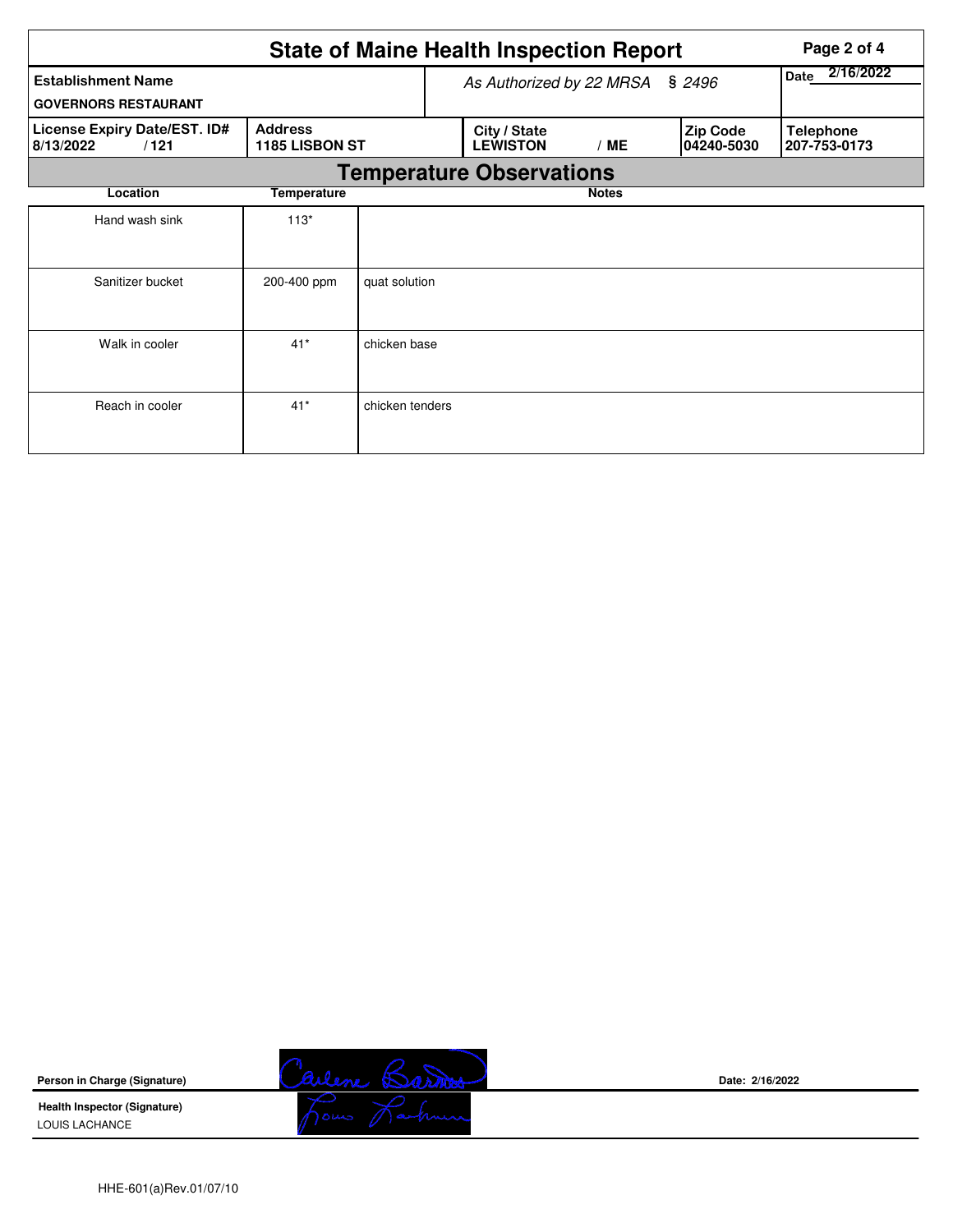|                                                          |                                         |                 |  | <b>State of Maine Health Inspection Report</b> |                   |  |                               | Page 2 of 4                      |  |  |
|----------------------------------------------------------|-----------------------------------------|-----------------|--|------------------------------------------------|-------------------|--|-------------------------------|----------------------------------|--|--|
| <b>Establishment Name</b><br><b>GOVERNORS RESTAURANT</b> |                                         |                 |  | As Authorized by 22 MRSA                       | 2/16/2022<br>Date |  |                               |                                  |  |  |
| License Expiry Date/EST. ID#<br>8/13/2022<br>/121        | <b>Address</b><br><b>1185 LISBON ST</b> |                 |  | City / State<br><b>LEWISTON</b>                | /ME               |  | <b>Zip Code</b><br>04240-5030 | <b>Telephone</b><br>207-753-0173 |  |  |
|                                                          | <b>Temperature Observations</b>         |                 |  |                                                |                   |  |                               |                                  |  |  |
| Location                                                 | <b>Temperature</b>                      |                 |  |                                                | <b>Notes</b>      |  |                               |                                  |  |  |
| Hand wash sink                                           | $113*$                                  |                 |  |                                                |                   |  |                               |                                  |  |  |
| Sanitizer bucket                                         | 200-400 ppm                             | quat solution   |  |                                                |                   |  |                               |                                  |  |  |
| Walk in cooler                                           | $41*$                                   | chicken base    |  |                                                |                   |  |                               |                                  |  |  |
| Reach in cooler                                          | $41*$                                   | chicken tenders |  |                                                |                   |  |                               |                                  |  |  |

**Person in Charge (Signature)**

**Health Inspector (Signature)**  LOUIS LACHANCE



**Date: 2/16/2022**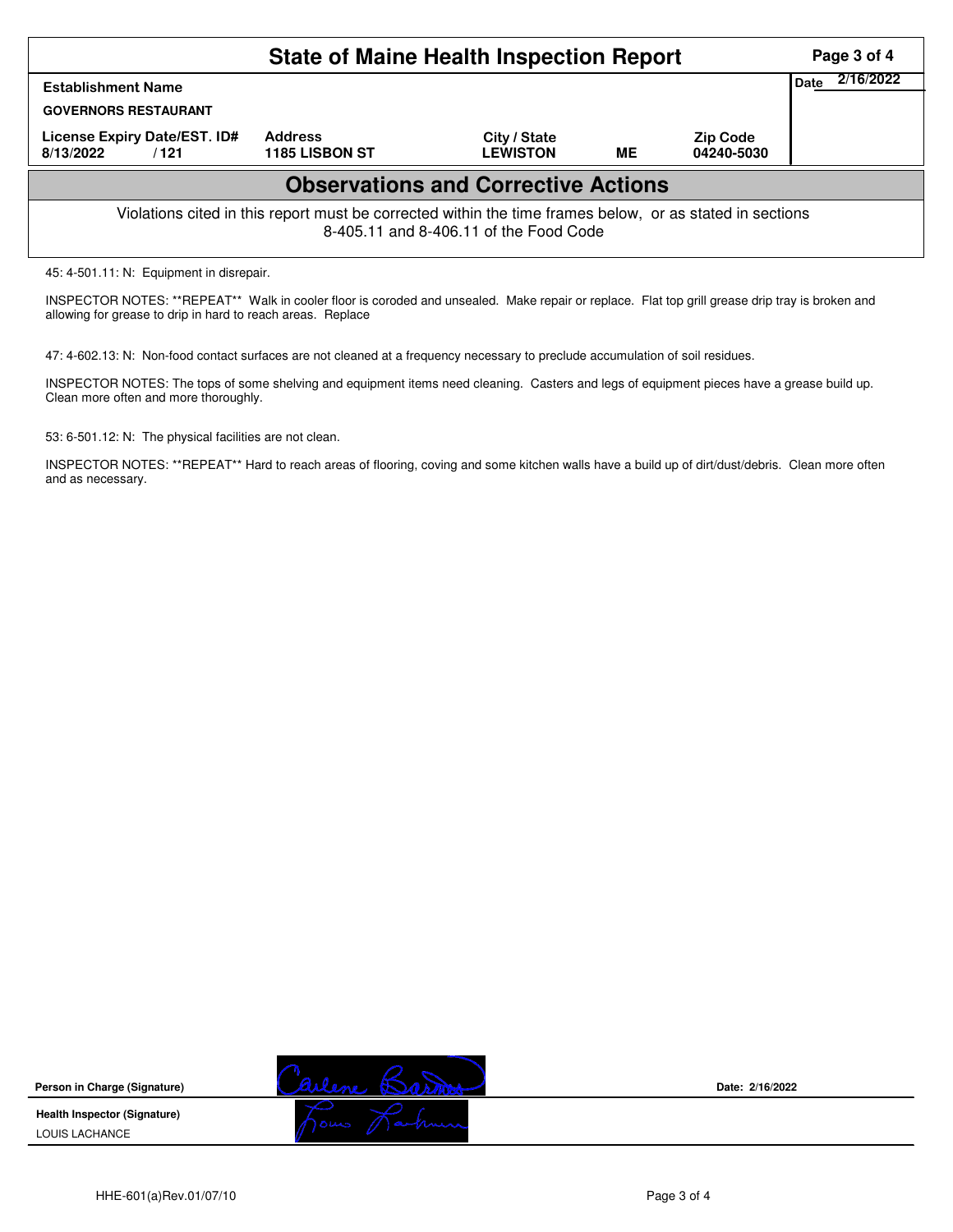| <b>State of Maine Health Inspection Report</b><br>Page 3 of 4                                                                                                                 |  |  |  |  |                   |  |  |  |
|-------------------------------------------------------------------------------------------------------------------------------------------------------------------------------|--|--|--|--|-------------------|--|--|--|
| <b>Establishment Name</b><br><b>GOVERNORS RESTAURANT</b>                                                                                                                      |  |  |  |  | 2/16/2022<br>Date |  |  |  |
| License Expiry Date/EST. ID#<br><b>Address</b><br>City / State<br><b>Zip Code</b><br><b>ME</b><br><b>LEWISTON</b><br><b>1185 LISBON ST</b><br>04240-5030<br>8/13/2022<br>/121 |  |  |  |  |                   |  |  |  |
| <b>Observations and Corrective Actions</b>                                                                                                                                    |  |  |  |  |                   |  |  |  |
| Violations cited in this report must be corrected within the time frames below, or as stated in sections<br>8-405.11 and 8-406.11 of the Food Code                            |  |  |  |  |                   |  |  |  |
| 45: 4-501.11: N: Equipment in disrepair.                                                                                                                                      |  |  |  |  |                   |  |  |  |

INSPECTOR NOTES: \*\*REPEAT\*\* Walk in cooler floor is coroded and unsealed. Make repair or replace. Flat top grill grease drip tray is broken and allowing for grease to drip in hard to reach areas. Replace

47: 4-602.13: N: Non-food contact surfaces are not cleaned at a frequency necessary to preclude accumulation of soil residues.

INSPECTOR NOTES: The tops of some shelving and equipment items need cleaning. Casters and legs of equipment pieces have a grease build up. Clean more often and more thoroughly.

53: 6-501.12: N: The physical facilities are not clean.

INSPECTOR NOTES: \*\*REPEAT\*\* Hard to reach areas of flooring, coving and some kitchen walls have a build up of dirt/dust/debris. Clean more often and as necessary.





**Date: 2/16/2022**